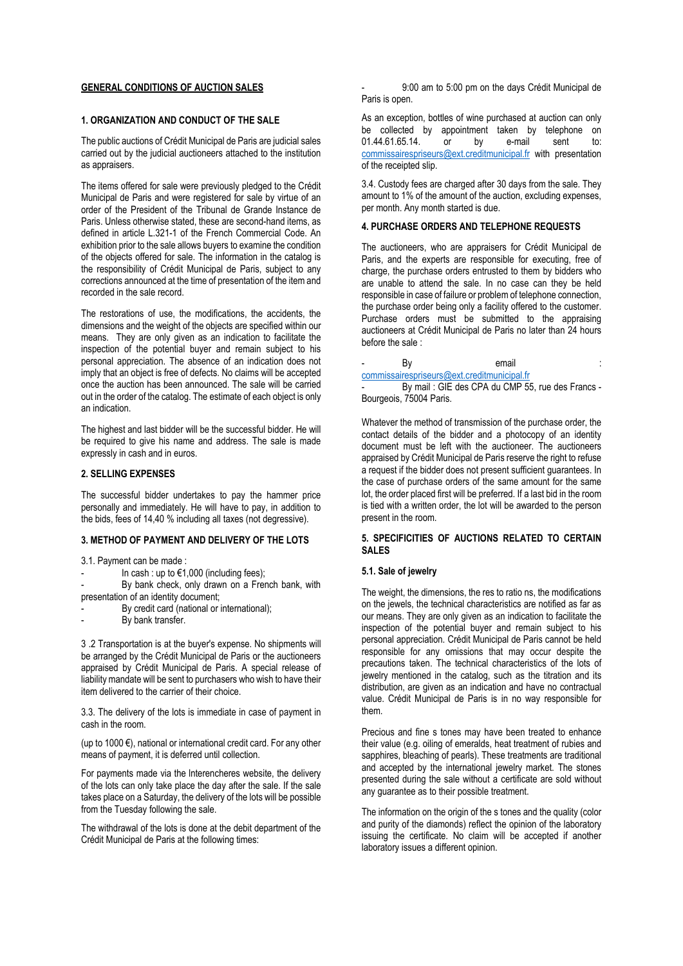## **GENERAL CONDITIONS OF AUCTION SALES**

# **1. ORGANIZATION AND CONDUCT OF THE SALE**

The public auctions of Crédit Municipal de Paris are judicial sales carried out by the judicial auctioneers attached to the institution as appraisers.

The items offered for sale were previously pledged to the Crédit Municipal de Paris and were registered for sale by virtue of an order of the President of the Tribunal de Grande Instance de Paris. Unless otherwise stated, these are second-hand items, as defined in article L.321-1 of the French Commercial Code. An exhibition prior to the sale allows buyers to examine the condition of the objects offered for sale. The information in the catalog is the responsibility of Crédit Municipal de Paris, subject to any corrections announced at the time of presentation of the item and recorded in the sale record.

The restorations of use, the modifications, the accidents, the dimensions and the weight of the objects are specified within our means. They are only given as an indication to facilitate the inspection of the potential buyer and remain subject to his personal appreciation. The absence of an indication does not imply that an object is free of defects. No claims will be accepted once the auction has been announced. The sale will be carried out in the order of the catalog. The estimate of each object is only an indication.

The highest and last bidder will be the successful bidder. He will be required to give his name and address. The sale is made expressly in cash and in euros.

## **2. SELLING EXPENSES**

The successful bidder undertakes to pay the hammer price personally and immediately. He will have to pay, in addition to the bids, fees of 14,40 % including all taxes (not degressive).

### **3. METHOD OF PAYMENT AND DELIVERY OF THE LOTS**

- 3.1. Payment can be made :
- In cash : up to  $€1,000$  (including fees);
- By bank check, only drawn on a French bank, with presentation of an identity document;
- By credit card (national or international);
- By bank transfer.

3 .2 Transportation is at the buyer's expense. No shipments will be arranged by the Crédit Municipal de Paris or the auctioneers appraised by Crédit Municipal de Paris. A special release of liability mandate will be sent to purchasers who wish to have their item delivered to the carrier of their choice.

3.3. The delivery of the lots is immediate in case of payment in cash in the room.

(up to 1000 $\varepsilon$ ), national or international credit card. For any other means of payment, it is deferred until collection.

For payments made via the lnterencheres website, the delivery of the lots can only take place the day after the sale. If the sale takes place on a Saturday, the delivery of the lots will be possible from the Tuesday following the sale.

The withdrawal of the lots is done at the debit department of the Crédit Municipal de Paris at the following times:

- 9:00 am to 5:00 pm on the days Crédit Municipal de Paris is open.

As an exception, bottles of wine purchased at auction can only be collected by appointment taken by telephone on 01.44.61.65.14. or by e-mail sent to: [commissairespriseurs@ext.creditmunicipal.fr](mailto:commissairespriseurs@ext.creditmunicipal.fr) with presentation of the receipted slip.

3.4. Custody fees are charged after 30 days from the sale. They amount to 1% of the amount of the auction, excluding expenses, per month. Any month started is due.

## **4. PURCHASE ORDERS AND TELEPHONE REQUESTS**

The auctioneers, who are appraisers for Crédit Municipal de Paris, and the experts are responsible for executing, free of charge, the purchase orders entrusted to them by bidders who are unable to attend the sale. In no case can they be held responsible in case of failure or problem of telephone connection, the purchase order being only a facility offered to the customer. Purchase orders must be submitted to the appraising auctioneers at Crédit Municipal de Paris no later than 24 hours before the sale :

- By email **email** and the By the second second  $\mathbf{B}$  and  $\mathbf{B}$  and  $\mathbf{B}$  and  $\mathbf{B}$  and  $\mathbf{B}$  and  $\mathbf{B}$  and  $\mathbf{B}$  and  $\mathbf{B}$  and  $\mathbf{B}$  and  $\mathbf{B}$  and  $\mathbf{B}$  and  $\mathbf{B}$  and  $\mathbf{B}$  and  $\mathbf{$ [commissairespriseurs@ext.creditmunicipal.fr](mailto:commissairespriseurs@ext.creditmunicipal.fr)

By mail : GIE des CPA du CMP 55, rue des Francs -Bourgeois, 75004 Paris.

Whatever the method of transmission of the purchase order, the contact details of the bidder and a photocopy of an identity document must be left with the auctioneer. The auctioneers appraised by Crédit Municipal de Paris reserve the right to refuse a request if the bidder does not present sufficient guarantees. In the case of purchase orders of the same amount for the same lot, the order placed first will be preferred. If a last bid in the room is tied with a written order, the lot will be awarded to the person present in the room.

## **5. SPECIFICITIES OF AUCTIONS RELATED TO CERTAIN SALES**

# **5.1. Sale of jewelry**

The weight, the dimensions, the res to ratio ns, the modifications on the jewels, the technical characteristics are notified as far as our means. They are only given as an indication to facilitate the inspection of the potential buyer and remain subject to his personal appreciation. Crédit Municipal de Paris cannot be held responsible for any omissions that may occur despite the precautions taken. The technical characteristics of the lots of jewelry mentioned in the catalog, such as the titration and its distribution, are given as an indication and have no contractual value. Crédit Municipal de Paris is in no way responsible for them.

Precious and fine s tones may have been treated to enhance their value (e.g. oiling of emeralds, heat treatment of rubies and sapphires, bleaching of pearls). These treatments are traditional and accepted by the international jewelry market. The stones presented during the sale without a certificate are sold without any guarantee as to their possible treatment.

The information on the origin of the s tones and the quality (color and purity of the diamonds) reflect the opinion of the laboratory issuing the certificate. No claim will be accepted if another laboratory issues a different opinion.